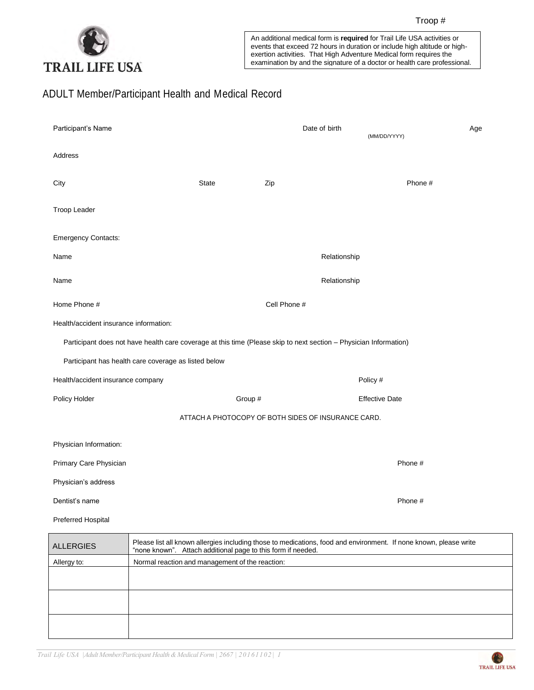An additional medical form is **required** for Trail Life USA activities or events that exceed 72 hours in duration or include high altitude or highexertion activities. That High Adventure Medical form requires the examination by and the signature of a doctor or health care professional.

## ADULT Member/Participant Health and Medical Record

| Participant's Name                                                                                                |  |                                                              |              | Date of birth<br>(MM/DD/YYYY) |                                                                                                                   |  |  |  |
|-------------------------------------------------------------------------------------------------------------------|--|--------------------------------------------------------------|--------------|-------------------------------|-------------------------------------------------------------------------------------------------------------------|--|--|--|
| Address                                                                                                           |  |                                                              |              |                               |                                                                                                                   |  |  |  |
| City                                                                                                              |  | <b>State</b>                                                 | Zip          |                               | Phone #                                                                                                           |  |  |  |
| Troop Leader                                                                                                      |  |                                                              |              |                               |                                                                                                                   |  |  |  |
| <b>Emergency Contacts:</b>                                                                                        |  |                                                              |              |                               |                                                                                                                   |  |  |  |
| Relationship<br>Name                                                                                              |  |                                                              |              |                               |                                                                                                                   |  |  |  |
| Name                                                                                                              |  |                                                              |              | Relationship                  |                                                                                                                   |  |  |  |
| Home Phone #                                                                                                      |  |                                                              | Cell Phone # |                               |                                                                                                                   |  |  |  |
| Health/accident insurance information:                                                                            |  |                                                              |              |                               |                                                                                                                   |  |  |  |
| Participant does not have health care coverage at this time (Please skip to next section - Physician Information) |  |                                                              |              |                               |                                                                                                                   |  |  |  |
| Participant has health care coverage as listed below                                                              |  |                                                              |              |                               |                                                                                                                   |  |  |  |
| Health/accident insurance company                                                                                 |  |                                                              | Policy #     |                               |                                                                                                                   |  |  |  |
| Group #<br>Policy Holder                                                                                          |  | <b>Effective Date</b>                                        |              |                               |                                                                                                                   |  |  |  |
| ATTACH A PHOTOCOPY OF BOTH SIDES OF INSURANCE CARD.                                                               |  |                                                              |              |                               |                                                                                                                   |  |  |  |
| Physician Information:                                                                                            |  |                                                              |              |                               |                                                                                                                   |  |  |  |
| Primary Care Physician                                                                                            |  |                                                              |              |                               | Phone #                                                                                                           |  |  |  |
| Physician's address                                                                                               |  |                                                              |              |                               |                                                                                                                   |  |  |  |
| Phone #<br>Dentist's name                                                                                         |  |                                                              |              |                               |                                                                                                                   |  |  |  |
| <b>Preferred Hospital</b>                                                                                         |  |                                                              |              |                               |                                                                                                                   |  |  |  |
| <b>ALLERGIES</b>                                                                                                  |  | "none known". Attach additional page to this form if needed. |              |                               | Please list all known allergies including those to medications, food and environment. If none known, please write |  |  |  |
| Allergy to:                                                                                                       |  | Normal reaction and management of the reaction:              |              |                               |                                                                                                                   |  |  |  |

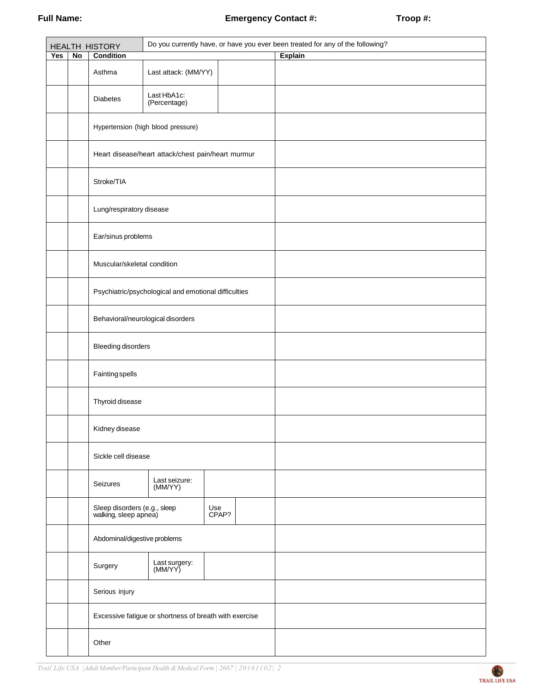|     |    | <b>HEALTH HISTORY</b>                                                 | Do you currently have, or have you ever been treated for any of the following? |  |                |  |  |
|-----|----|-----------------------------------------------------------------------|--------------------------------------------------------------------------------|--|----------------|--|--|
| Yes | No | <b>Condition</b>                                                      |                                                                                |  | <b>Explain</b> |  |  |
|     |    | Asthma                                                                | Last attack: (MM/YY)                                                           |  |                |  |  |
|     |    | <b>Diabetes</b>                                                       | Last HbA1c:<br>(Percentage)                                                    |  |                |  |  |
|     |    |                                                                       | Hypertension (high blood pressure)                                             |  |                |  |  |
|     |    |                                                                       | Heart disease/heart attack/chest pain/heart murmur                             |  |                |  |  |
|     |    | Stroke/TIA                                                            |                                                                                |  |                |  |  |
|     |    | Lung/respiratory disease                                              |                                                                                |  |                |  |  |
|     |    | Ear/sinus problems                                                    |                                                                                |  |                |  |  |
|     |    | Muscular/skeletal condition                                           |                                                                                |  |                |  |  |
|     |    | Psychiatric/psychological and emotional difficulties                  |                                                                                |  |                |  |  |
|     |    | Behavioral/neurological disorders                                     |                                                                                |  |                |  |  |
|     |    | <b>Bleeding disorders</b>                                             |                                                                                |  |                |  |  |
|     |    | <b>Fainting spells</b>                                                |                                                                                |  |                |  |  |
|     |    | Thyroid disease                                                       |                                                                                |  |                |  |  |
|     |    | Kidney disease                                                        |                                                                                |  |                |  |  |
|     |    | Sickle cell disease                                                   |                                                                                |  |                |  |  |
|     |    | Seizures                                                              | Last seizure:<br>(MM/YY)                                                       |  |                |  |  |
|     |    | Sleep disorders (e.g., sleep<br>walking, sleep apnea)<br>Use<br>CPAP? |                                                                                |  |                |  |  |
|     |    | Abdominal/digestive problems                                          |                                                                                |  |                |  |  |
|     |    | Last surgery:<br>(MM/YY)<br>Surgery                                   |                                                                                |  |                |  |  |
|     |    | Serious injury                                                        |                                                                                |  |                |  |  |
|     |    | Excessive fatigue or shortness of breath with exercise                |                                                                                |  |                |  |  |
|     |    | Other                                                                 |                                                                                |  |                |  |  |

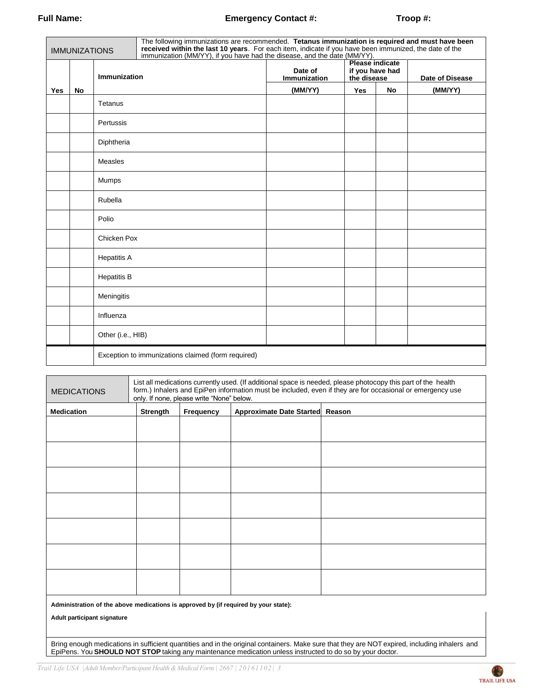## **Full Name: Emergency Contact #: Troop #:**

| The following immunizations are recommended. Tetanus immunization is required and must have been<br>received within the last 10 years. For each item, indicate if you have been immunized, the date of the<br><b>IMMUNIZATIONS</b><br>immunization (MM/YY), if you have had the disease, and the date (MM/YY). |           |                    |                                                    |                                |                                                          |           |                        |
|----------------------------------------------------------------------------------------------------------------------------------------------------------------------------------------------------------------------------------------------------------------------------------------------------------------|-----------|--------------------|----------------------------------------------------|--------------------------------|----------------------------------------------------------|-----------|------------------------|
|                                                                                                                                                                                                                                                                                                                |           | Immunization       |                                                    | Date of<br><b>Immunization</b> | <b>Please indicate</b><br>if you have had<br>the disease |           | <b>Date of Disease</b> |
| Yes                                                                                                                                                                                                                                                                                                            | <b>No</b> |                    |                                                    | (MM/YY)                        | <b>Yes</b>                                               | <b>No</b> | (MM/YY)                |
|                                                                                                                                                                                                                                                                                                                |           | Tetanus            |                                                    |                                |                                                          |           |                        |
|                                                                                                                                                                                                                                                                                                                |           | Pertussis          |                                                    |                                |                                                          |           |                        |
|                                                                                                                                                                                                                                                                                                                |           | Diphtheria         |                                                    |                                |                                                          |           |                        |
|                                                                                                                                                                                                                                                                                                                |           | Measles            |                                                    |                                |                                                          |           |                        |
|                                                                                                                                                                                                                                                                                                                |           | Mumps              |                                                    |                                |                                                          |           |                        |
|                                                                                                                                                                                                                                                                                                                |           | Rubella            |                                                    |                                |                                                          |           |                        |
|                                                                                                                                                                                                                                                                                                                |           | Polio              |                                                    |                                |                                                          |           |                        |
|                                                                                                                                                                                                                                                                                                                |           | Chicken Pox        |                                                    |                                |                                                          |           |                        |
|                                                                                                                                                                                                                                                                                                                |           | <b>Hepatitis A</b> |                                                    |                                |                                                          |           |                        |
|                                                                                                                                                                                                                                                                                                                |           | <b>Hepatitis B</b> |                                                    |                                |                                                          |           |                        |
|                                                                                                                                                                                                                                                                                                                |           | Meningitis         |                                                    |                                |                                                          |           |                        |
|                                                                                                                                                                                                                                                                                                                |           | Influenza          |                                                    |                                |                                                          |           |                        |
|                                                                                                                                                                                                                                                                                                                |           | Other (i.e., HIB)  |                                                    |                                |                                                          |           |                        |
|                                                                                                                                                                                                                                                                                                                |           |                    | Exception to immunizations claimed (form required) |                                |                                                          |           |                        |

| <b>MEDICATIONS</b>                                                                  | List all medications currently used. (If additional space is needed, please photocopy this part of the health<br>form.) Inhalers and EpiPen information must be included, even if they are for occasional or emergency use<br>only. If none, please write "None" below. |           |                                 |  |  |
|-------------------------------------------------------------------------------------|-------------------------------------------------------------------------------------------------------------------------------------------------------------------------------------------------------------------------------------------------------------------------|-----------|---------------------------------|--|--|
| <b>Medication</b>                                                                   | <b>Strength</b>                                                                                                                                                                                                                                                         | Frequency | Approximate Date Started Reason |  |  |
|                                                                                     |                                                                                                                                                                                                                                                                         |           |                                 |  |  |
|                                                                                     |                                                                                                                                                                                                                                                                         |           |                                 |  |  |
|                                                                                     |                                                                                                                                                                                                                                                                         |           |                                 |  |  |
|                                                                                     |                                                                                                                                                                                                                                                                         |           |                                 |  |  |
|                                                                                     |                                                                                                                                                                                                                                                                         |           |                                 |  |  |
|                                                                                     |                                                                                                                                                                                                                                                                         |           |                                 |  |  |
|                                                                                     |                                                                                                                                                                                                                                                                         |           |                                 |  |  |
|                                                                                     |                                                                                                                                                                                                                                                                         |           |                                 |  |  |
|                                                                                     |                                                                                                                                                                                                                                                                         |           |                                 |  |  |
|                                                                                     |                                                                                                                                                                                                                                                                         |           |                                 |  |  |
|                                                                                     |                                                                                                                                                                                                                                                                         |           |                                 |  |  |
|                                                                                     |                                                                                                                                                                                                                                                                         |           |                                 |  |  |
|                                                                                     |                                                                                                                                                                                                                                                                         |           |                                 |  |  |
|                                                                                     |                                                                                                                                                                                                                                                                         |           |                                 |  |  |
| Administration of the above modications is approved by (if required by your state). |                                                                                                                                                                                                                                                                         |           |                                 |  |  |

**Administration of the above medications is approved by (if required by your state):**

**Adult participant signature**

Bring enough medications in sufficient quantities and in the original containers. Make sure that they are NOT expired, including inhalers and EpiPens. You **SHOULD NOT STOP** taking any maintenance medication unless instructed to do so by your doctor.